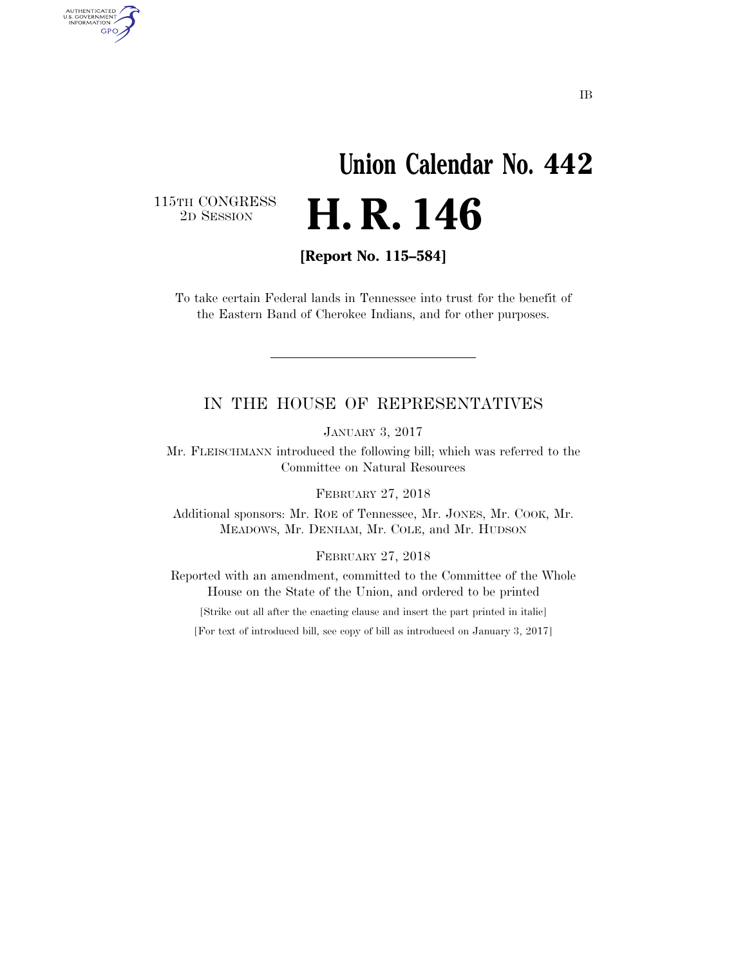# **Union Calendar No. 442**  2D SESSION **H. R. 146**

 $\begin{array}{c} \textbf{115TH CONGRESS} \\ \textbf{2D} \textbf{Session} \end{array}$ 

AUTHENTICATED<br>U.S. GOVERNMENT<br>INFORMATION GPO

**[Report No. 115–584]** 

To take certain Federal lands in Tennessee into trust for the benefit of the Eastern Band of Cherokee Indians, and for other purposes.

#### IN THE HOUSE OF REPRESENTATIVES

JANUARY 3, 2017

Mr. FLEISCHMANN introduced the following bill; which was referred to the Committee on Natural Resources

FEBRUARY 27, 2018

Additional sponsors: Mr. ROE of Tennessee, Mr. JONES, Mr. COOK, Mr. MEADOWS, Mr. DENHAM, Mr. COLE, and Mr. HUDSON

FEBRUARY 27, 2018

Reported with an amendment, committed to the Committee of the Whole House on the State of the Union, and ordered to be printed

[Strike out all after the enacting clause and insert the part printed in italic]

[For text of introduced bill, see copy of bill as introduced on January 3, 2017]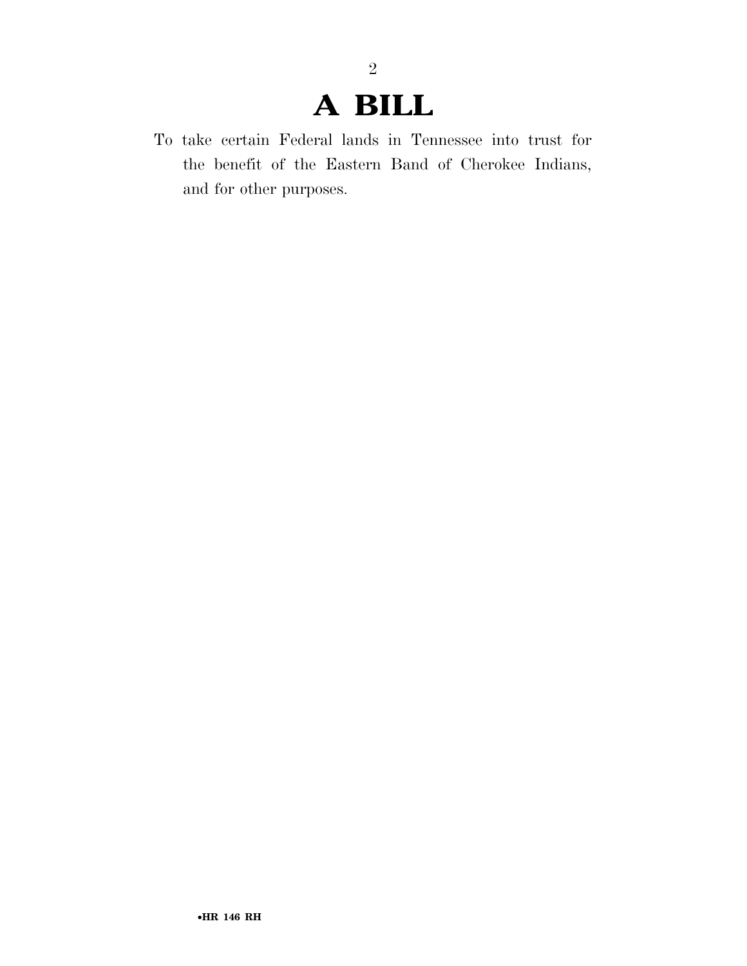## **A BILL**

2

To take certain Federal lands in Tennessee into trust for the benefit of the Eastern Band of Cherokee Indians, and for other purposes.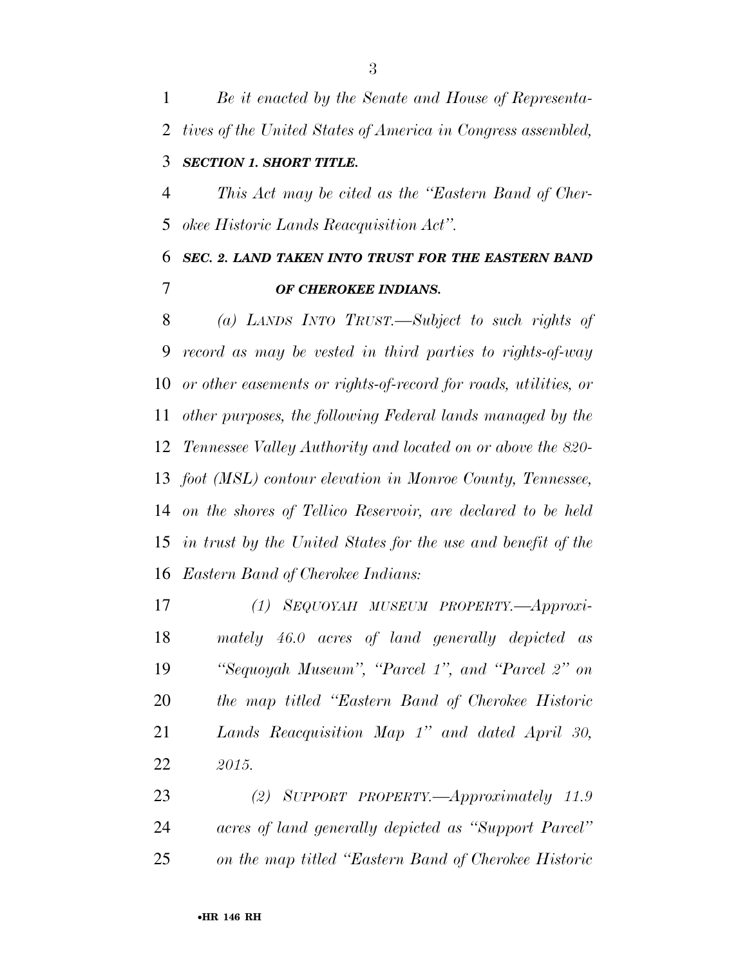*Be it enacted by the Senate and House of Representa- tives of the United States of America in Congress assembled, SECTION 1. SHORT TITLE.* 

 *This Act may be cited as the ''Eastern Band of Cher-okee Historic Lands Reacquisition Act''.* 

### *SEC. 2. LAND TAKEN INTO TRUST FOR THE EASTERN BAND OF CHEROKEE INDIANS.*

 *(a) LANDS INTO TRUST.—Subject to such rights of record as may be vested in third parties to rights-of-way or other easements or rights-of-record for roads, utilities, or other purposes, the following Federal lands managed by the Tennessee Valley Authority and located on or above the 820- foot (MSL) contour elevation in Monroe County, Tennessee, on the shores of Tellico Reservoir, are declared to be held in trust by the United States for the use and benefit of the Eastern Band of Cherokee Indians:* 

 *(1) SEQUOYAH MUSEUM PROPERTY.—Approxi- mately 46.0 acres of land generally depicted as ''Sequoyah Museum'', ''Parcel 1'', and ''Parcel 2'' on the map titled ''Eastern Band of Cherokee Historic Lands Reacquisition Map 1'' and dated April 30, 2015.* 

 *(2) SUPPORT PROPERTY.—Approximately 11.9 acres of land generally depicted as ''Support Parcel'' on the map titled ''Eastern Band of Cherokee Historic*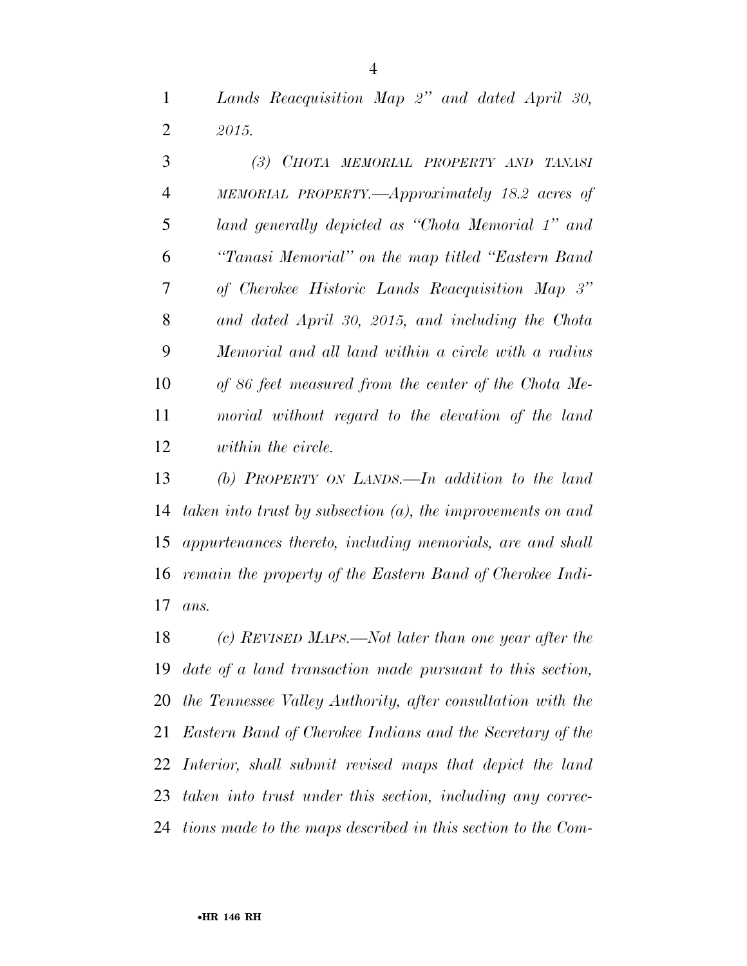*Lands Reacquisition Map 2'' and dated April 30, 2015.* 

 *(3) CHOTA MEMORIAL PROPERTY AND TANASI MEMORIAL PROPERTY.—Approximately 18.2 acres of land generally depicted as ''Chota Memorial 1'' and ''Tanasi Memorial'' on the map titled ''Eastern Band of Cherokee Historic Lands Reacquisition Map 3'' and dated April 30, 2015, and including the Chota Memorial and all land within a circle with a radius of 86 feet measured from the center of the Chota Me- morial without regard to the elevation of the land within the circle.* 

 *(b) PROPERTY ON LANDS.—In addition to the land taken into trust by subsection (a), the improvements on and appurtenances thereto, including memorials, are and shall remain the property of the Eastern Band of Cherokee Indi-ans.* 

 *(c) REVISED MAPS.—Not later than one year after the date of a land transaction made pursuant to this section, the Tennessee Valley Authority, after consultation with the Eastern Band of Cherokee Indians and the Secretary of the Interior, shall submit revised maps that depict the land taken into trust under this section, including any correc-tions made to the maps described in this section to the Com-*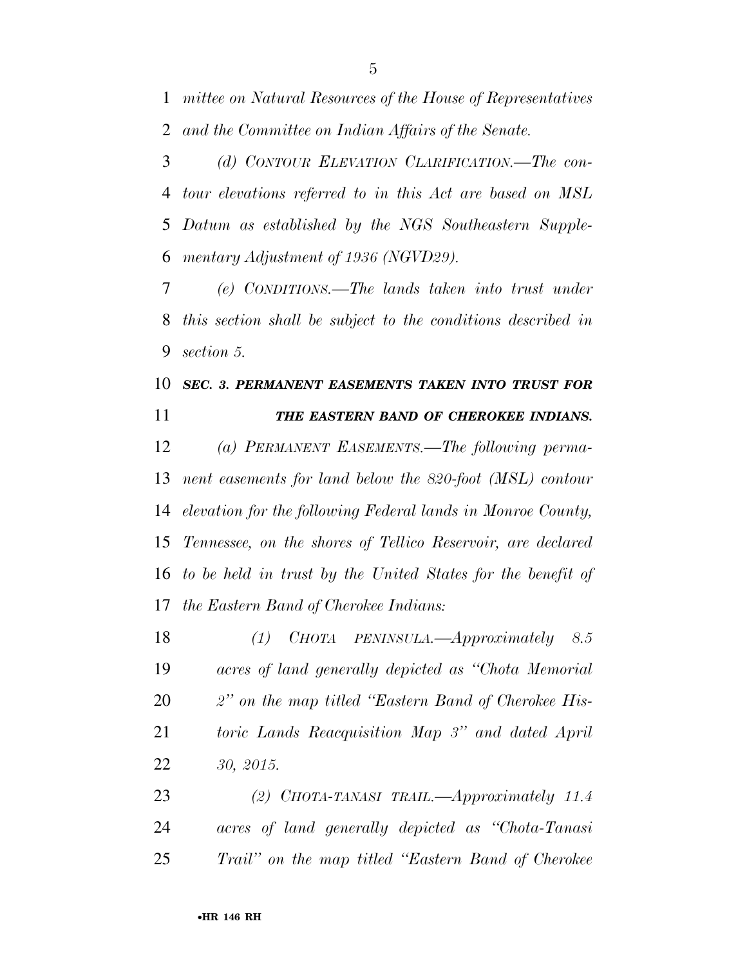*mittee on Natural Resources of the House of Representatives and the Committee on Indian Affairs of the Senate.* 

 *(d) CONTOUR ELEVATION CLARIFICATION.—The con- tour elevations referred to in this Act are based on MSL Datum as established by the NGS Southeastern Supple-mentary Adjustment of 1936 (NGVD29).* 

 *(e) CONDITIONS.—The lands taken into trust under this section shall be subject to the conditions described in section 5.* 

### *SEC. 3. PERMANENT EASEMENTS TAKEN INTO TRUST FOR THE EASTERN BAND OF CHEROKEE INDIANS.*

 *(a) PERMANENT EASEMENTS.—The following perma- nent easements for land below the 820-foot (MSL) contour elevation for the following Federal lands in Monroe County, Tennessee, on the shores of Tellico Reservoir, are declared to be held in trust by the United States for the benefit of the Eastern Band of Cherokee Indians:* 

 *(1) CHOTA PENINSULA.—Approximately 8.5 acres of land generally depicted as ''Chota Memorial 2'' on the map titled ''Eastern Band of Cherokee His- toric Lands Reacquisition Map 3'' and dated April 30, 2015.* 

 *(2) CHOTA-TANASI TRAIL.—Approximately 11.4 acres of land generally depicted as ''Chota-Tanasi Trail'' on the map titled ''Eastern Band of Cherokee*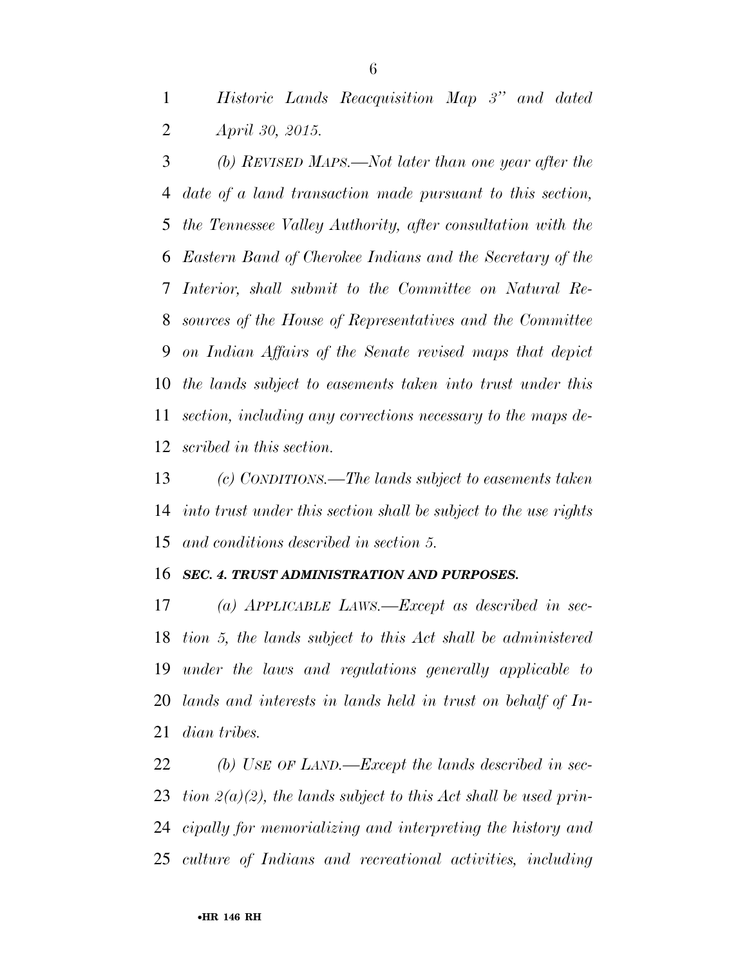*Historic Lands Reacquisition Map 3'' and dated April 30, 2015.* 

 *(b) REVISED MAPS.—Not later than one year after the date of a land transaction made pursuant to this section, the Tennessee Valley Authority, after consultation with the Eastern Band of Cherokee Indians and the Secretary of the Interior, shall submit to the Committee on Natural Re- sources of the House of Representatives and the Committee on Indian Affairs of the Senate revised maps that depict the lands subject to easements taken into trust under this section, including any corrections necessary to the maps de-scribed in this section.* 

 *(c) CONDITIONS.—The lands subject to easements taken into trust under this section shall be subject to the use rights and conditions described in section 5.* 

#### *SEC. 4. TRUST ADMINISTRATION AND PURPOSES.*

 *(a) APPLICABLE LAWS.—Except as described in sec- tion 5, the lands subject to this Act shall be administered under the laws and regulations generally applicable to lands and interests in lands held in trust on behalf of In-dian tribes.* 

 *(b) USE OF LAND.—Except the lands described in sec- tion 2(a)(2), the lands subject to this Act shall be used prin- cipally for memorializing and interpreting the history and culture of Indians and recreational activities, including*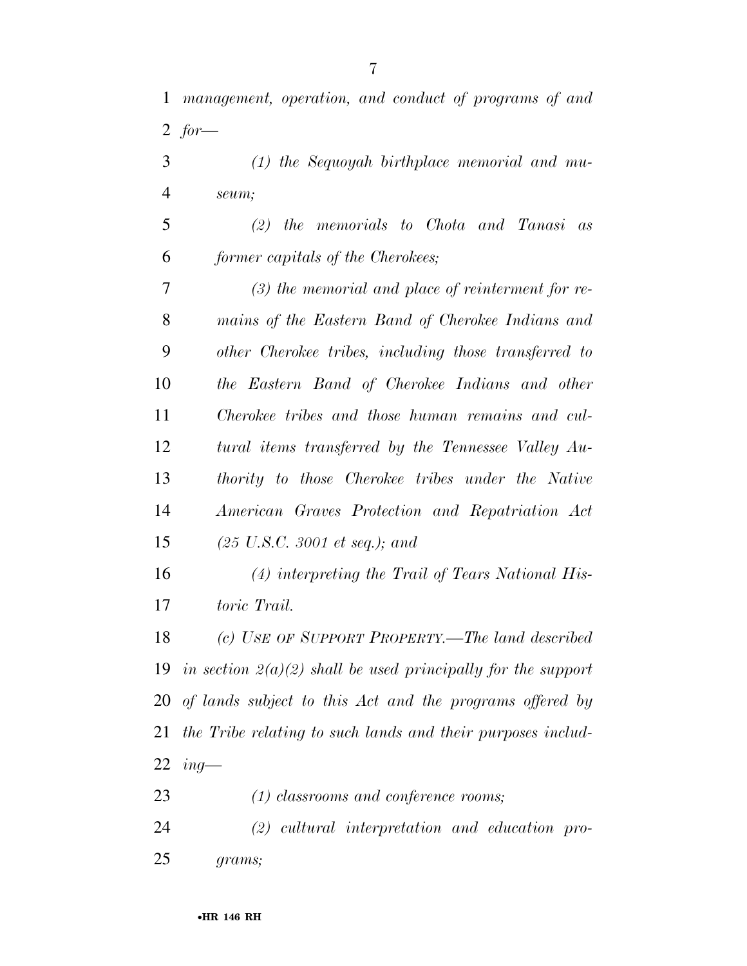*management, operation, and conduct of programs of and for—* 

- *(1) the Sequoyah birthplace memorial and mu-seum;*
- *(2) the memorials to Chota and Tanasi as former capitals of the Cherokees;*

 *(3) the memorial and place of reinterment for re- mains of the Eastern Band of Cherokee Indians and other Cherokee tribes, including those transferred to the Eastern Band of Cherokee Indians and other Cherokee tribes and those human remains and cul- tural items transferred by the Tennessee Valley Au- thority to those Cherokee tribes under the Native American Graves Protection and Repatriation Act (25 U.S.C. 3001 et seq.); and* 

 *(4) interpreting the Trail of Tears National His-toric Trail.* 

 *(c) USE OF SUPPORT PROPERTY.—The land described in section 2(a)(2) shall be used principally for the support of lands subject to this Act and the programs offered by the Tribe relating to such lands and their purposes includ-ing—* 

*(1) classrooms and conference rooms;* 

 *(2) cultural interpretation and education pro-grams;*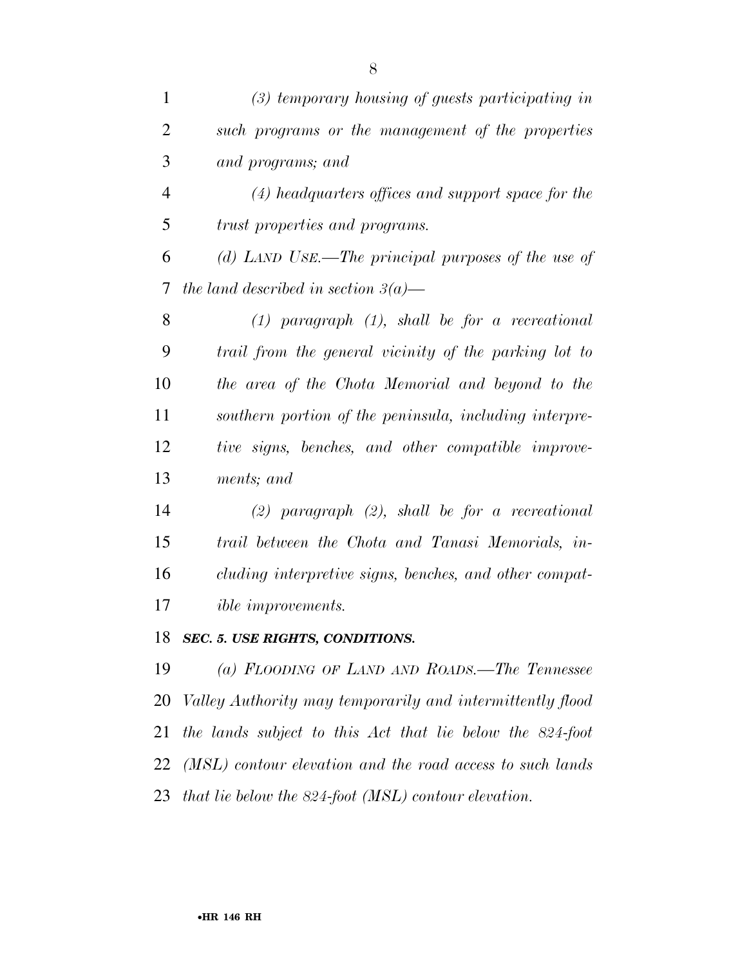| $\mathbf{1}$   | $(3)$ temporary housing of guests participating in        |
|----------------|-----------------------------------------------------------|
| $\overline{2}$ | such programs or the management of the properties         |
| 3              | and programs; and                                         |
| $\overline{4}$ | $(4)$ headquarters offices and support space for the      |
| 5              | trust properties and programs.                            |
| 6              | (d) LAND USE.—The principal purposes of the use of        |
| 7              | the land described in section $3(a)$ —                    |
| 8              | $(1)$ paragraph $(1)$ , shall be for a recreational       |
| 9              | trail from the general vicinity of the parking lot to     |
| 10             | the area of the Chota Memorial and beyond to the          |
| 11             | southern portion of the peninsula, including interpre-    |
| 12             | tive signs, benches, and other compatible improve-        |
| 13             | ments; and                                                |
| 14             | $(2)$ paragraph $(2)$ , shall be for a recreational       |
| 15             | trail between the Chota and Tanasi Memorials, in-         |
| 16             | cluding interpretive signs, benches, and other compat-    |
| 17             | <i>ible improvements.</i>                                 |
| 18             | SEC. 5. USE RIGHTS, CONDITIONS.                           |
| 19             | (a) FLOODING OF LAND AND ROADS.—The Tennessee             |
| 20             | Valley Authority may temporarily and intermittently flood |

*the lands subject to this Act that lie below the 824-foot* 

*(MSL) contour elevation and the road access to such lands*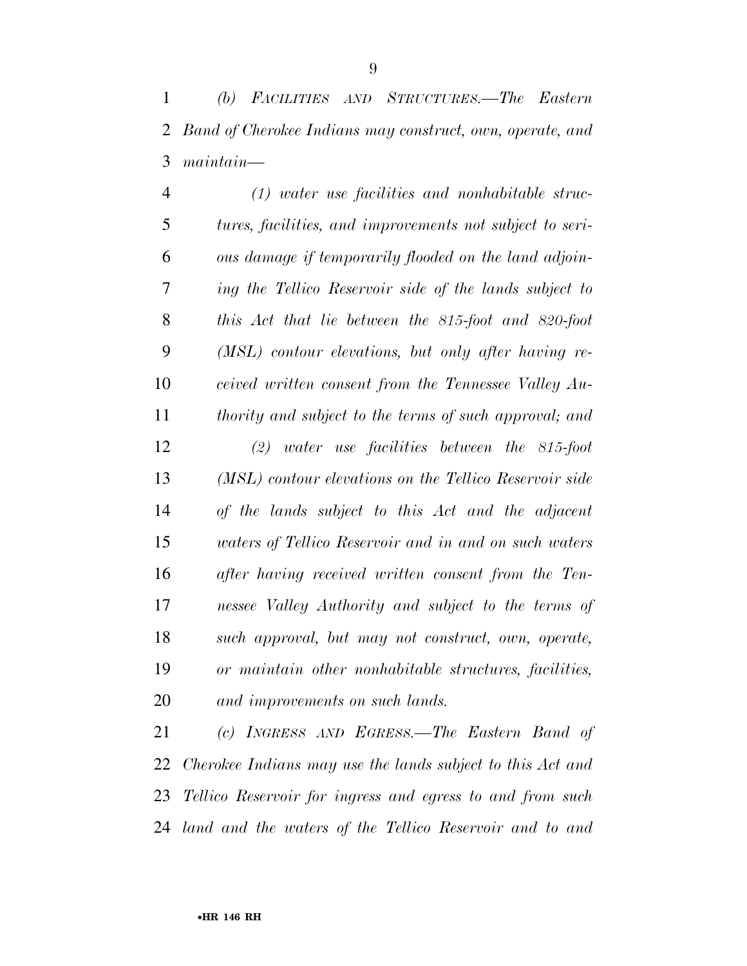*(1) water use facilities and nonhabitable struc- tures, facilities, and improvements not subject to seri- ous damage if temporarily flooded on the land adjoin- ing the Tellico Reservoir side of the lands subject to this Act that lie between the 815-foot and 820-foot (MSL) contour elevations, but only after having re- ceived written consent from the Tennessee Valley Au- thority and subject to the terms of such approval; and (2) water use facilities between the 815-foot (MSL) contour elevations on the Tellico Reservoir side of the lands subject to this Act and the adjacent waters of Tellico Reservoir and in and on such waters after having received written consent from the Ten- nessee Valley Authority and subject to the terms of such approval, but may not construct, own, operate, or maintain other nonhabitable structures, facilities, and improvements on such lands.* 

 *(c) INGRESS AND EGRESS.—The Eastern Band of Cherokee Indians may use the lands subject to this Act and Tellico Reservoir for ingress and egress to and from such land and the waters of the Tellico Reservoir and to and*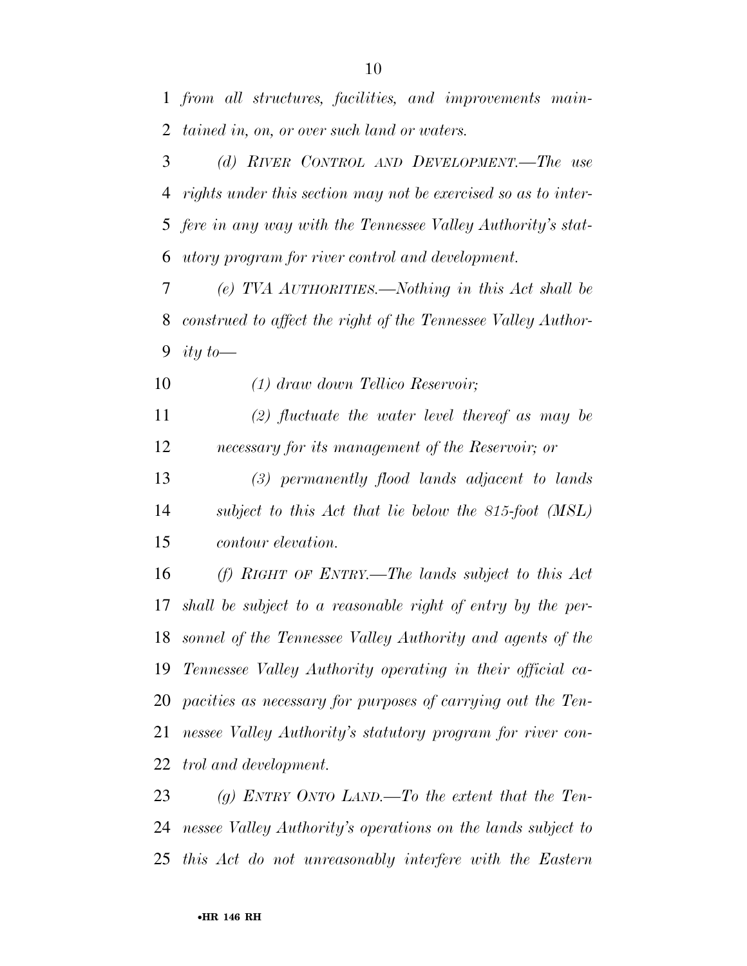*from all structures, facilities, and improvements main-tained in, on, or over such land or waters.* 

 *(d) RIVER CONTROL AND DEVELOPMENT.—The use rights under this section may not be exercised so as to inter- fere in any way with the Tennessee Valley Authority's stat-utory program for river control and development.* 

 *(e) TVA AUTHORITIES.—Nothing in this Act shall be construed to affect the right of the Tennessee Valley Author-ity to—* 

*(1) draw down Tellico Reservoir;* 

 *(2) fluctuate the water level thereof as may be necessary for its management of the Reservoir; or* 

 *(3) permanently flood lands adjacent to lands subject to this Act that lie below the 815-foot (MSL) contour elevation.* 

 *(f) RIGHT OF ENTRY.—The lands subject to this Act shall be subject to a reasonable right of entry by the per- sonnel of the Tennessee Valley Authority and agents of the Tennessee Valley Authority operating in their official ca- pacities as necessary for purposes of carrying out the Ten- nessee Valley Authority's statutory program for river con-trol and development.* 

 *(g) ENTRY ONTO LAND.—To the extent that the Ten- nessee Valley Authority's operations on the lands subject to this Act do not unreasonably interfere with the Eastern*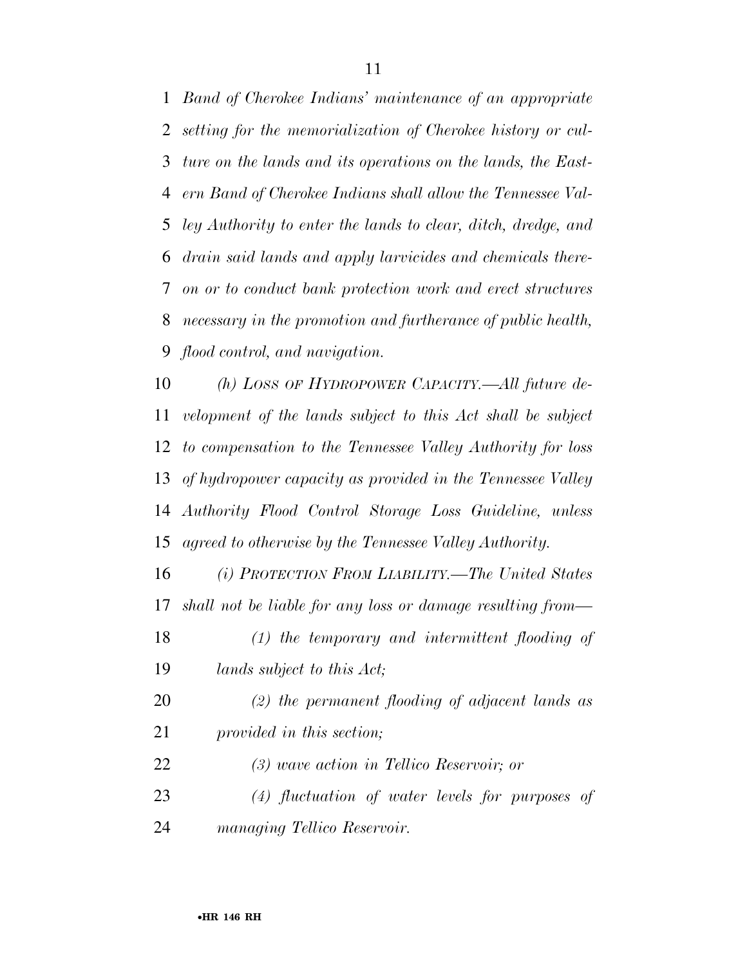*Band of Cherokee Indians' maintenance of an appropriate setting for the memorialization of Cherokee history or cul- ture on the lands and its operations on the lands, the East- ern Band of Cherokee Indians shall allow the Tennessee Val- ley Authority to enter the lands to clear, ditch, dredge, and drain said lands and apply larvicides and chemicals there- on or to conduct bank protection work and erect structures necessary in the promotion and furtherance of public health, flood control, and navigation.* 

 *(h) LOSS OF HYDROPOWER CAPACITY.—All future de- velopment of the lands subject to this Act shall be subject to compensation to the Tennessee Valley Authority for loss of hydropower capacity as provided in the Tennessee Valley Authority Flood Control Storage Loss Guideline, unless agreed to otherwise by the Tennessee Valley Authority.* 

 *(i) PROTECTION FROM LIABILITY.—The United States shall not be liable for any loss or damage resulting from—* 

- *(1) the temporary and intermittent flooding of lands subject to this Act;*
- *(2) the permanent flooding of adjacent lands as provided in this section;*
- *(3) wave action in Tellico Reservoir; or*
- *(4) fluctuation of water levels for purposes of managing Tellico Reservoir.*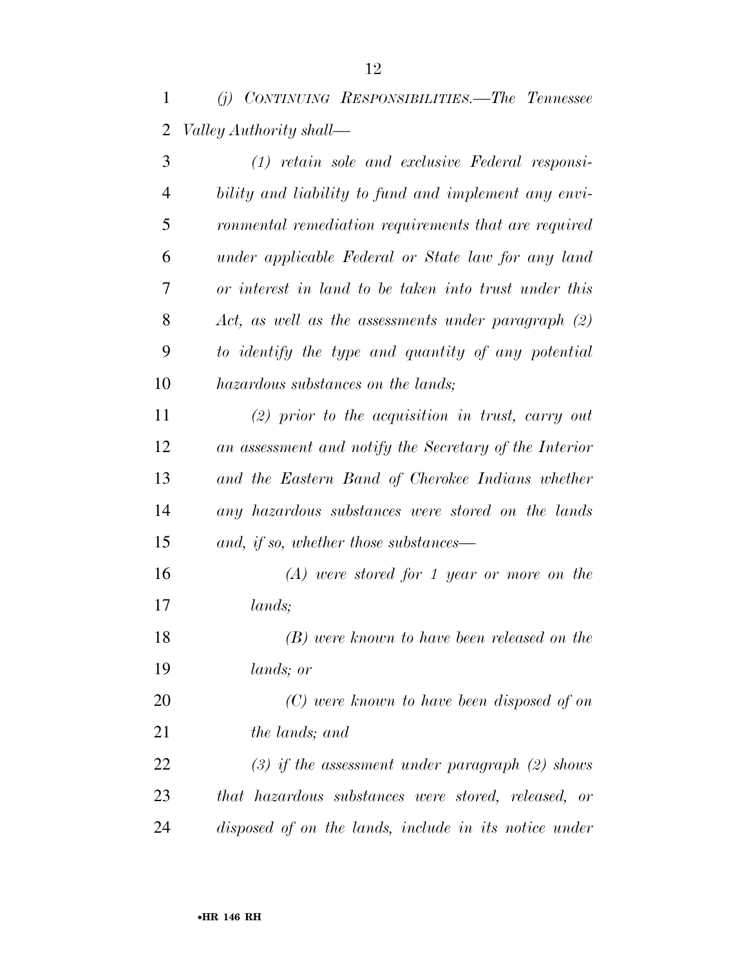*(j) CONTINUING RESPONSIBILITIES.—The Tennessee Valley Authority shall—* 

| 3              | $(1)$ retain sole and exclusive Federal responsi-      |
|----------------|--------------------------------------------------------|
| $\overline{4}$ | bility and liability to fund and implement any envi-   |
| 5              | ronmental remediation requirements that are required   |
| 6              | under applicable Federal or State law for any land     |
| 7              | or interest in land to be taken into trust under this  |
| 8              | Act, as well as the assessments under paragraph $(2)$  |
| 9              | to identify the type and quantity of any potential     |
| 10             | hazardous substances on the lands;                     |
| 11             | $(2)$ prior to the acquisition in trust, carry out     |
| 12             | an assessment and notify the Secretary of the Interior |
| 13             | and the Eastern Band of Cherokee Indians whether       |
| 14             | any hazardous substances were stored on the lands      |
| 15             | and, if so, whether those substances—                  |
| 16             | $(A)$ were stored for 1 year or more on the            |
| 17             | lands;                                                 |
| 18             | (B) were known to have been released on the            |
| 19             | lands; or                                              |
| 20             | (C) were known to have been disposed of on             |
| 21             | the lands; and                                         |
| 22             | $(3)$ if the assessment under paragraph $(2)$ shows    |
| 23             | that hazardous substances were stored, released, or    |
| 24             | disposed of on the lands, include in its notice under  |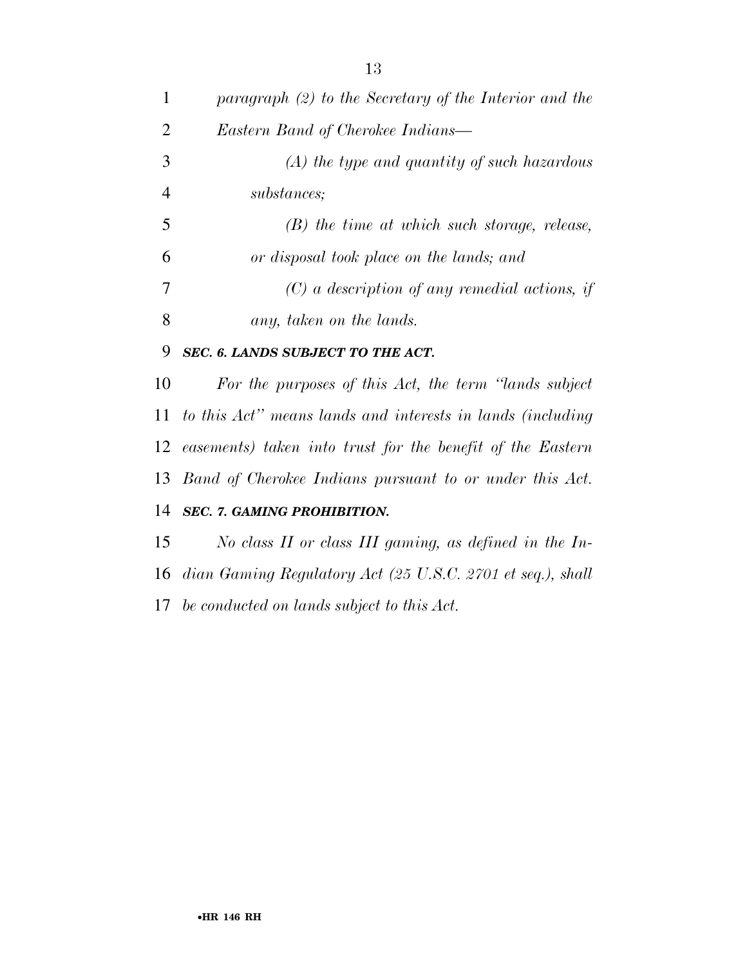| $\mathbf{1}$   | paragraph $(2)$ to the Secretary of the Interior and the      |
|----------------|---------------------------------------------------------------|
| $\overline{2}$ | Eastern Band of Cherokee Indians—                             |
| 3              | $(A)$ the type and quantity of such hazardous                 |
| $\overline{4}$ | substances;                                                   |
| 5              | $(B)$ the time at which such storage, release,                |
| 6              | or disposal took place on the lands; and                      |
| 7              | $(C)$ a description of any remedial actions, if               |
| 8              | any, taken on the lands.                                      |
| 9              | SEC. 6. LANDS SUBJECT TO THE ACT.                             |
| 10             | For the purposes of this Act, the term "lands subject"        |
|                | 11 to this Act" means lands and interests in lands (including |
|                | 12 easements) taken into trust for the benefit of the Eastern |
|                | 13 Band of Cherokee Indians pursuant to or under this Act.    |
| 14             | <b>SEC. 7. GAMING PROHIBITION.</b>                            |
| 15             | No class $II$ or class $III$ gaming, as defined in the In-    |
|                | 16 dian Gaming Regulatory Act (25 U.S.C. 2701 et seq.), shall |

*be conducted on lands subject to this Act.*